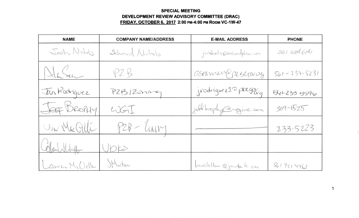## **SPECIAL MEETING DEVELOPMENT REVIEW ADVISORY COMMITTEE (DRAC) FRIDAY. OCTOBER 6. 2017 2:00 PM-4:00 PM ROOM VC-1W-47**

| <b>NAME</b>     | <b>COMPANY NAME/ADDRESS</b> | <b>E-MAIL ADDRESS</b>   | <b>PHONE</b>       |
|-----------------|-----------------------------|-------------------------|--------------------|
| Josh Nichols    | Schmid Nichels              | jnishols@snlandplan.com | 561.684.6141       |
| HaSen           | PZB                         | aseaman@prescraing      | $561 - 233 - 5231$ |
| Jan Rodniguez   | PZB12onner                  | jvodriguez10 plxgor,    | 541-233-5596       |
| JEFF BROPHY     | $\cup$ GI                   | jeft brophy@wginc.com   | $309 - 1525$       |
| UN Macalli      | PZB - CUNIM                 |                         | 233-5223           |
| Colochildage    | DES                         |                         |                    |
| Lauren McClella | Murton                      | Include Cimenton la car | 3617014463         |

1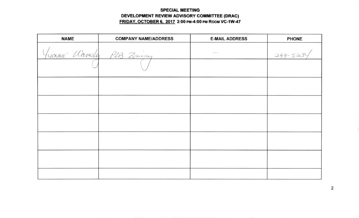## **SPECIAL MEETING** DEVELOPMENT REVIEW ADVISORY COMMITTEE (DRAC) FRIDAY, OCTOBER 6, 2017 2:00 PM-4:00 PM ROOM VC-1W-47

| <b>NAME</b> | <b>COMPANY NAME/ADDRESS</b> | <b>E-MAIL ADDRESS</b> | <b>PHONE</b> |
|-------------|-----------------------------|-----------------------|--------------|
|             | Yuanne Warnsley P2B Zoning  |                       | 233-5234     |
|             |                             |                       |              |
|             |                             |                       |              |
|             |                             |                       |              |
|             |                             |                       |              |
|             |                             |                       |              |
|             |                             |                       |              |
|             |                             |                       |              |